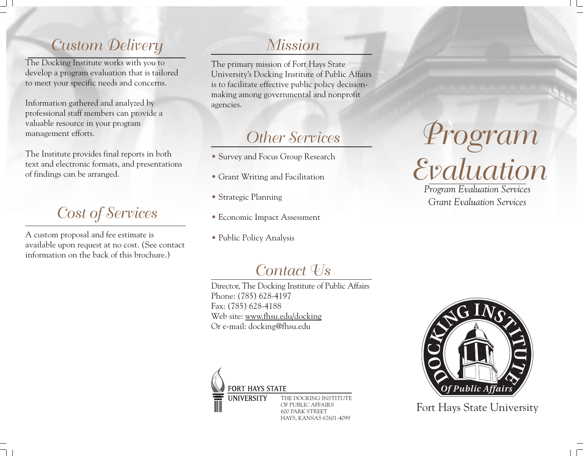## *Custom Delivery*

The Docking Institute works with you to develop a program evaluation that is tailored to meet your specific needs and concerns.

Information gathered and analyzed by professional staff members can provide a valuable resource in your program management efforts.

The Institute provides final reports in both text and electronic formats, and presentations of findings can be arranged.

*Cost of Services*

A custom proposal and fee estimate is available upon request at no cost. (See contact information on the back of this brochure.)

#### *Mission*

The primary mission of Fort Hays State University's Docking Institute of Public Affairs is to facilitate effective public policy decisionmaking among governmental and nonprofit agencies.

## *Other Services*

- Survey and Focus Group Research
- Grant Writing and Facilitation
- Strategic Planning
- Economic Impact Assessment
- Public Policy Analysis

# *Program Evaluation*

*Program Evaluation Services Grant Evaluation Services*

#### *Contact Us*

Director, The Docking Institute of Public Affairs Phone: (785) 628-4197 Fax: (785) 628-4188 Web site: www.fhsu.edu/docking Or e-mail: docking@fhsu.edu



THE DOCKING INSTITUTE OF PUBLIC AFFAIRS 600 PARK STREET HAYS, KANSAS 67601-4099



Fort Hays State University